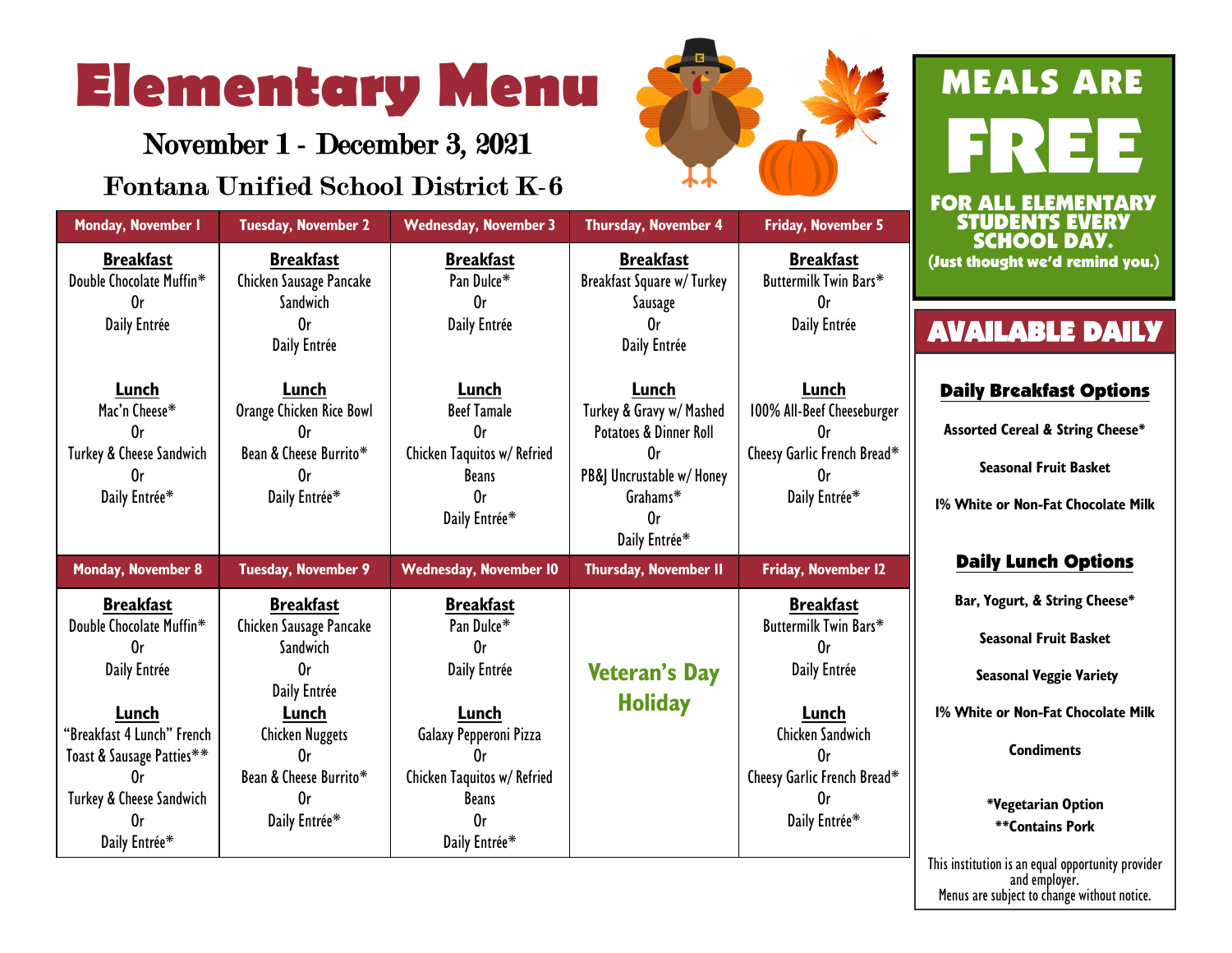# **Elementary Menu**

November 1 - December 3, 2021

## **Fontana Unified School District K-6**



|                                                                                                                                                                                           |                                                                                                                                                                                     |                                                                                                                                                                     |                                                                                                                                               |                                                                                                                                                          | FC     |
|-------------------------------------------------------------------------------------------------------------------------------------------------------------------------------------------|-------------------------------------------------------------------------------------------------------------------------------------------------------------------------------------|---------------------------------------------------------------------------------------------------------------------------------------------------------------------|-----------------------------------------------------------------------------------------------------------------------------------------------|----------------------------------------------------------------------------------------------------------------------------------------------------------|--------|
| Monday, November I                                                                                                                                                                        | <b>Tuesday, November 2</b>                                                                                                                                                          | <b>Wednesday, November 3</b>                                                                                                                                        | Thursday, November 4                                                                                                                          | Friday, November 5                                                                                                                                       |        |
| <b>Breakfast</b><br>Double Chocolate Muffin*<br>0r                                                                                                                                        | <b>Breakfast</b><br>Chicken Sausage Pancake<br>Sandwich                                                                                                                             | <b>Breakfast</b><br>Pan Dulce*<br>0 <sub>r</sub>                                                                                                                    | <b>Breakfast</b><br>Breakfast Square w/Turkey<br>Sausage                                                                                      | <b>Breakfast</b><br>Buttermilk Twin Bars*<br>0r                                                                                                          | $($ Ju |
| Daily Entrée                                                                                                                                                                              | 0r<br>Daily Entrée                                                                                                                                                                  | Daily Entrée                                                                                                                                                        | 0r<br>Daily Entrée                                                                                                                            | Daily Entrée                                                                                                                                             | A      |
| Lunch<br>Mac'n Cheese*<br>0r<br>Turkey & Cheese Sandwich<br>0r<br>Daily Entrée*                                                                                                           | Lunch<br>Orange Chicken Rice Bowl<br>0r<br>Bean & Cheese Burrito*<br>0r<br>Daily Entrée*                                                                                            | Lunch<br><b>Beef Tamale</b><br>0r<br>Chicken Taquitos w/ Refried<br><b>Beans</b><br>0r<br>Daily Entrée*                                                             | Lunch<br>Turkey & Gravy w/ Mashed<br>Potatoes & Dinner Roll<br>0r<br>PB&J Uncrustable w/ Honey<br>Grahams*<br>0 <sub>r</sub><br>Daily Entrée* | Lunch<br>100% All-Beef Cheeseburger<br>0r<br>Cheesy Garlic French Bread*<br>0r<br>Daily Entrée*                                                          | 1%     |
| <b>Monday, November 8</b>                                                                                                                                                                 | <b>Tuesday, November 9</b>                                                                                                                                                          | <b>Wednesday, November 10</b>                                                                                                                                       | Thursday, November II                                                                                                                         | Friday, November 12                                                                                                                                      |        |
| <b>Breakfast</b><br>Double Chocolate Muffin*<br>0r<br>Daily Entrée<br>Lunch<br>"Breakfast 4 Lunch" French<br>Toast & Sausage Patties**<br>0r<br>Turkey & Cheese Sandwich<br>Daily Entrée* | <b>Breakfast</b><br>Chicken Sausage Pancake<br>Sandwich<br>0 <sub>r</sub><br>Daily Entrée<br>Lunch<br><b>Chicken Nuggets</b><br>0r<br>Bean & Cheese Burrito*<br>0r<br>Daily Entrée* | <b>Breakfast</b><br>Pan Dulce*<br>0r<br>Daily Entrée<br>Lunch<br>Galaxy Pepperoni Pizza<br>0r<br>Chicken Taquitos w/ Refried<br><b>Beans</b><br>0r<br>Daily Entrée* | <b>Veteran's Day</b><br><b>Holiday</b>                                                                                                        | <b>Breakfast</b><br>Buttermilk Twin Bars*<br>0r<br>Daily Entrée<br>Lunch<br>Chicken Sandwich<br>0r<br>Cheesy Garlic French Bread*<br>0r<br>Daily Entrée* | 1%     |

## MEALS ARE **ELEMENTARY** STUDENTS EVERY SCHOOL DAY. thought we'd remind you.)

## **VAILABLE DAILY**

#### aily Breakfast Options

**Assorted Cereal & String Cheese\***

**Seasonal Fruit Basket**

**1% White or Non-Fat Chocolate Milk**

#### Daily Lunch Options

**Bar, Yogurt, & String Cheese\***

**Seasonal Fruit Basket** 

**Seasonal Veggie Variety**

**1% White or Non-Fat Chocolate Milk**

**Condiments**

**\*Vegetarian Option \*\*Contains Pork** 

This institution is an equal opportunity provider and employer. Menus are subject to change without notice.